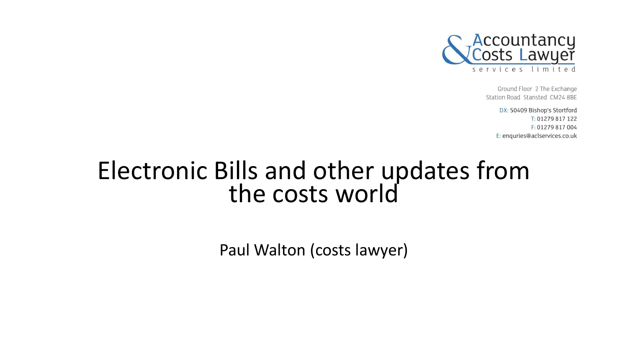

Ground Floor 2 The Exchange Station Road Stansted CM24 8BE

> DX: 50409 Bishop's Stortford T: 01279 817 122 F: 01279 817 004 E: enquries@aclservices.co.uk

# Electronic Bills and other updates from the costs world

Paul Walton (costs lawyer)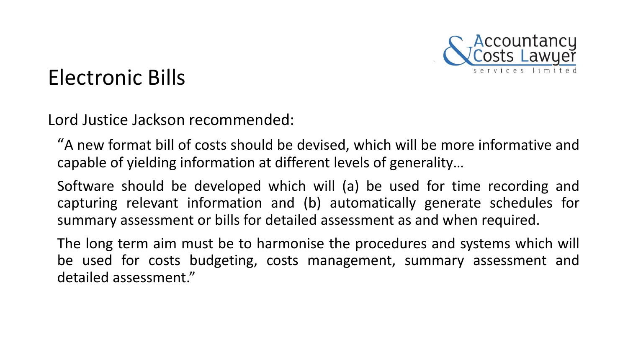

#### Electronic Bills

Lord Justice Jackson recommended:

"A new format bill of costs should be devised, which will be more informative and capable of yielding information at different levels of generality…

Software should be developed which will (a) be used for time recording and capturing relevant information and (b) automatically generate schedules for summary assessment or bills for detailed assessment as and when required.

The long term aim must be to harmonise the procedures and systems which will be used for costs budgeting, costs management, summary assessment and detailed assessment."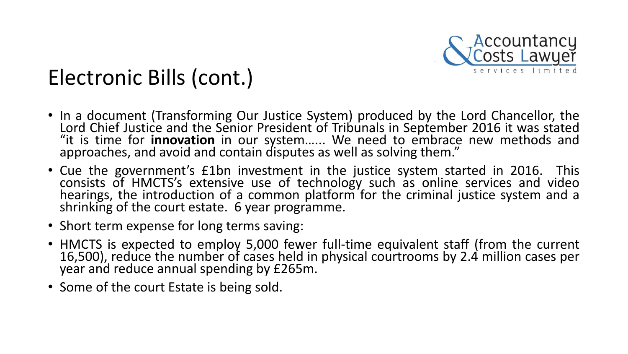

- In a document (Transforming Our Justice System) produced by the Lord Chancellor, the Lord Chief Justice and the Senior President of Tribunals in September 2016 it was stated "it is time for **innovation** in our system…... We need to embrace new methods and approaches, and avoid and contain disputes as well as solving them."
- Cue the government's £1bn investment in the justice system started in 2016. This consists of HMCTS's extensive use of technology such as online services and video hearings, the introduction of a common platform for the criminal justice system and a shrinking of the court estate. 6 year programme.
- Short term expense for long terms saving:
- HMCTS is expected to employ 5,000 fewer full-time equivalent staff (from the current 16,500), reduce the number of cases held in physical courtrooms by 2.4 million cases per year and reduce annual spending by £265m.
- Some of the court Estate is being sold.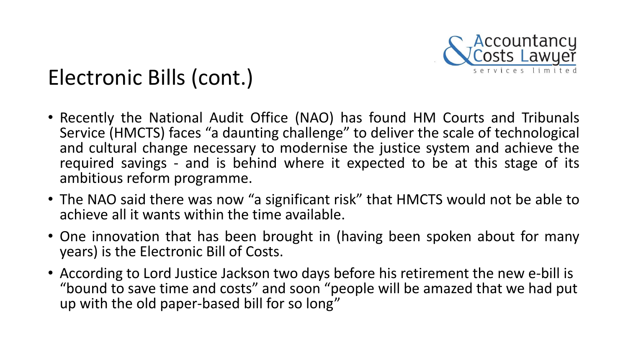

- Recently the National Audit Office (NAO) has found HM Courts and Tribunals Service (HMCTS) faces "a daunting challenge" to deliver the scale of technological and cultural change necessary to modernise the justice system and achieve the required savings - and is behind where it expected to be at this stage of its ambitious reform programme.
- The NAO said there was now "a significant risk" that HMCTS would not be able to achieve all it wants within the time available.
- One innovation that has been brought in (having been spoken about for many years) is the Electronic Bill of Costs.
- According to Lord Justice Jackson two days before his retirement the new e-bill is "bound to save time and costs" and soon "people will be amazed that we had put up with the old paper-based bill for so long"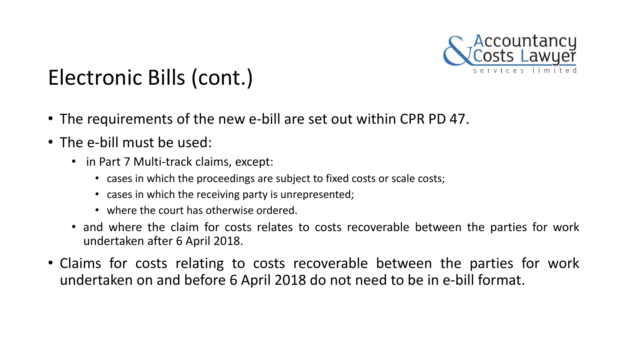

- The requirements of the new e-bill are set out within CPR PD 47.
- The e-bill must be used:
	- in Part 7 Multi-track claims, except:
		- cases in which the proceedings are subject to fixed costs or scale costs;
		- cases in which the receiving party is unrepresented;
		- where the court has otherwise ordered.
	- and where the claim for costs relates to costs recoverable between the parties for work undertaken after 6 April 2018.
- Claims for costs relating to costs recoverable between the parties for work undertaken on and before 6 April 2018 do not need to be in e-bill format.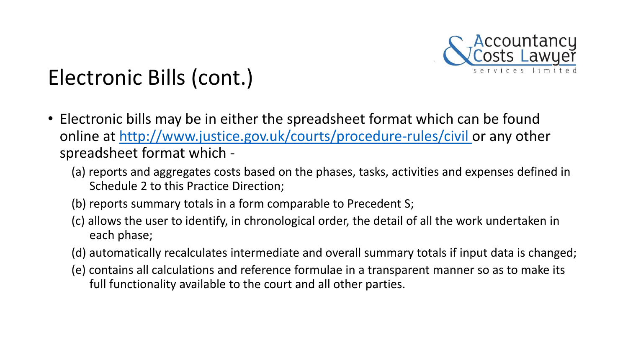

- Electronic bills may be in either the spreadsheet format which can be found online at [http://www.justice.gov.uk/courts/procedure-rules/civil o](http://www.justice.gov.uk/courts/procedure-rules/civil)r any other spreadsheet format which -
	- (a) reports and aggregates costs based on the phases, tasks, activities and expenses defined in Schedule 2 to this Practice Direction;
	- (b) reports summary totals in a form comparable to Precedent S;
	- (c) allows the user to identify, in chronological order, the detail of all the work undertaken in each phase;
	- (d) automatically recalculates intermediate and overall summary totals if input data is changed;
	- (e) contains all calculations and reference formulae in a transparent manner so as to make its full functionality available to the court and all other parties.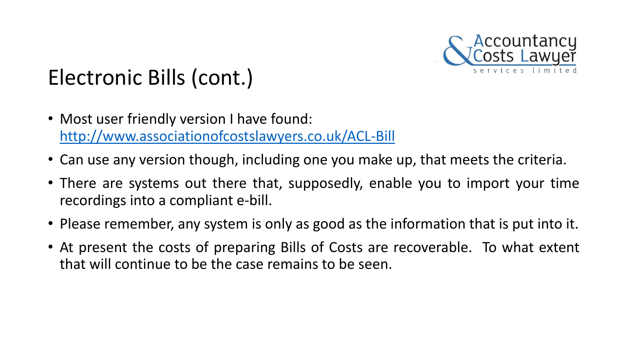

- Most user friendly version I have found: <http://www.associationofcostslawyers.co.uk/ACL-Bill>
- Can use any version though, including one you make up, that meets the criteria.
- There are systems out there that, supposedly, enable you to import your time recordings into a compliant e-bill.
- Please remember, any system is only as good as the information that is put into it.
- At present the costs of preparing Bills of Costs are recoverable. To what extent that will continue to be the case remains to be seen.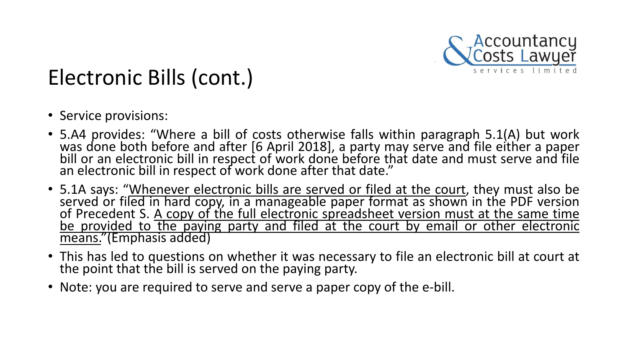

- Service provisions:
- 5.A4 provides: "Where a bill of costs otherwise falls within paragraph 5.1(A) but work was done both before and after [6 April 2018], a party may serve and file either a paper bill or an electronic bill in respect of work done before that date and must serve and file an electronic bill in respect of work done after that date."
- 5.1A says: "Whenever electronic bills are served or filed at the court, they must also be served or filed in hard copy, in a manageable paper format as shown in the PDF version of Precedent S. A copy of the full electronic spreadsheet version must at the same time be provided to the paying party and filed at the court by email or other electronic means."(Emphasis added)
- This has led to questions on whether it was necessary to file an electronic bill at court at the point that the bill is served on the paying party.
- Note: you are required to serve and serve a paper copy of the e-bill.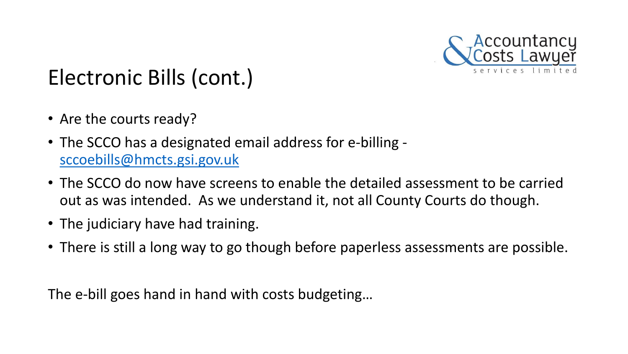

- Are the courts ready?
- The SCCO has a designated email address for e-billing [sccoebills@hmcts.gsi.gov.uk](mailto:sccoebills@hmcts.gsi.gov.uk)
- The SCCO do now have screens to enable the detailed assessment to be carried out as was intended. As we understand it, not all County Courts do though.
- The judiciary have had training.
- There is still a long way to go though before paperless assessments are possible.

The e-bill goes hand in hand with costs budgeting…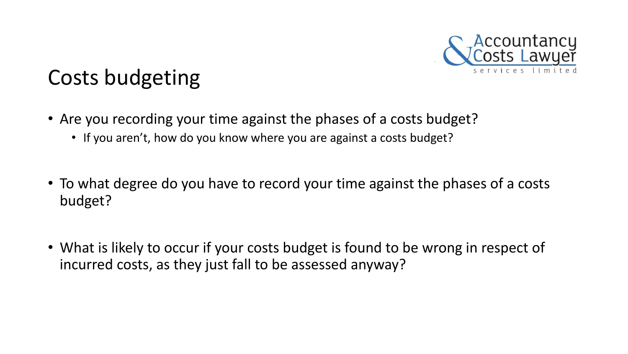

## Costs budgeting

- Are you recording your time against the phases of a costs budget?
	- If you aren't, how do you know where you are against a costs budget?
- To what degree do you have to record your time against the phases of a costs budget?
- What is likely to occur if your costs budget is found to be wrong in respect of incurred costs, as they just fall to be assessed anyway?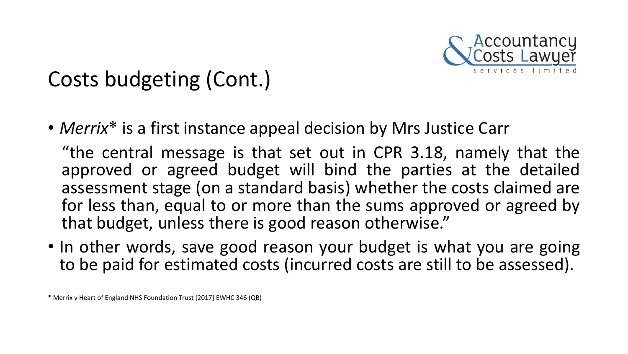

• *Merrix*\* is a first instance appeal decision by Mrs Justice Carr

"the central message is that set out in CPR 3.18, namely that the approved or agreed budget will bind the parties at the detailed assessment stage (on a standard basis) whether the costs claimed are for less than, equal to or more than the sums approved or agreed by that budget, unless there is good reason otherwise."

• In other words, save good reason your budget is what you are going to be paid for estimated costs (incurred costs are still to be assessed).

\* Merrix v Heart of England NHS Foundation Trust [2017] EWHC 346 (QB)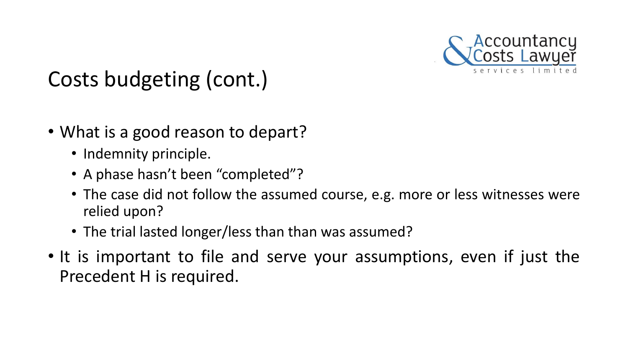

- What is a good reason to depart?
	- Indemnity principle.
	- A phase hasn't been "completed"?
	- The case did not follow the assumed course, e.g. more or less witnesses were relied upon?
	- The trial lasted longer/less than than was assumed?
- It is important to file and serve your assumptions, even if just the Precedent H is required.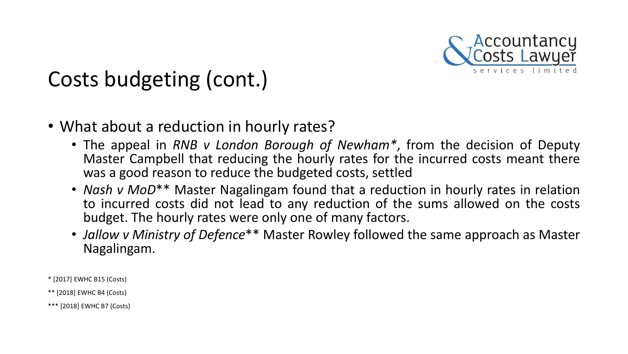

- What about a reduction in hourly rates?
	- The appeal in *RNB v London Borough of Newham\**, from the decision of Deputy Master Campbell that reducing the hourly rates for the incurred costs meant there was a good reason to reduce the budgeted costs, settled
	- *Nash v MoD*\*\* Master Nagalingam found that a reduction in hourly rates in relation to incurred costs did not lead to any reduction of the sums allowed on the costs budget. The hourly rates were only one of many factors.
	- *Jallow v Ministry of Defence*\*\* Master Rowley followed the same approach as Master Nagalingam.

\* [2017] EWHC B15 (Costs)

\*\* [2018] EWHC B4 (Costs)

\*\*\* [2018] EWHC B7 (Costs)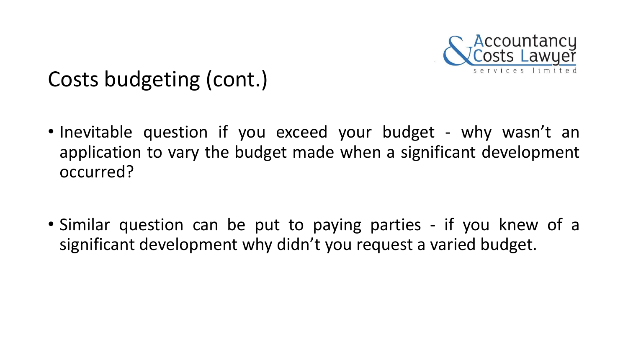

- Inevitable question if you exceed your budget why wasn't an application to vary the budget made when a significant development occurred?
- Similar question can be put to paying parties if you knew of a significant development why didn't you request a varied budget.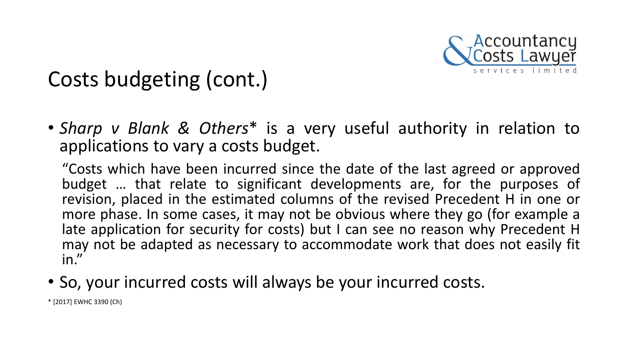

• *Sharp v Blank & Others*\* is a very useful authority in relation to applications to vary a costs budget.

"Costs which have been incurred since the date of the last agreed or approved budget … that relate to significant developments are, for the purposes of revision, placed in the estimated columns of the revised Precedent H in one or more phase. In some cases, it may not be obvious where they go (for example a late application for security for costs) but I can see no reason why Precedent H may not be adapted as necessary to accommodate work that does not easily fit in."

• So, your incurred costs will always be your incurred costs.

\* [2017] EWHC 3390 (Ch)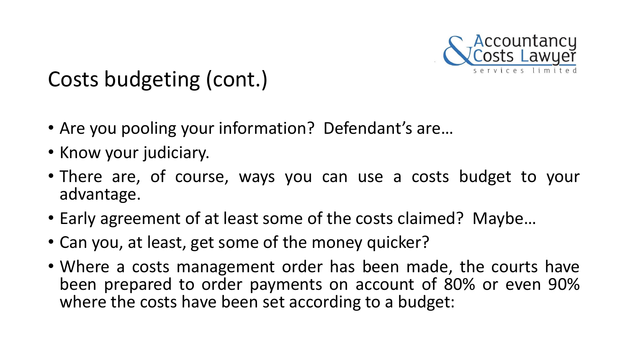

- Are you pooling your information? Defendant's are…
- Know your judiciary.
- There are, of course, ways you can use a costs budget to your advantage.
- Early agreement of at least some of the costs claimed? Maybe…
- Can you, at least, get some of the money quicker?
- Where a costs management order has been made, the courts have been prepared to order payments on account of 80% or even 90% where the costs have been set according to a budget: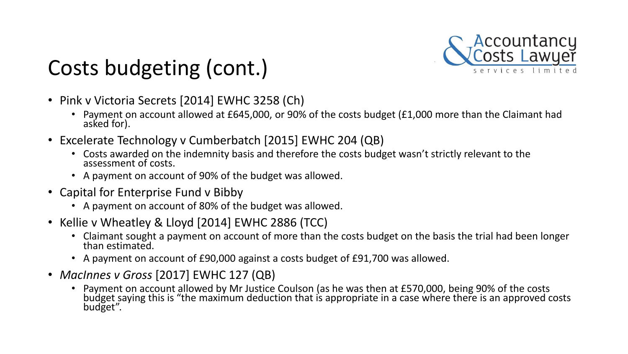

- Pink v Victoria Secrets [2014] EWHC 3258 (Ch)
	- Payment on account allowed at £645,000, or 90% of the costs budget (£1,000 more than the Claimant had asked for).
- Excelerate Technology v Cumberbatch [2015] EWHC 204 (QB)
	- Costs awarded on the indemnity basis and therefore the costs budget wasn't strictly relevant to the assessment of costs.
	- A payment on account of 90% of the budget was allowed.
- Capital for Enterprise Fund v Bibby
	- A payment on account of 80% of the budget was allowed.
- Kellie v Wheatley & Lloyd [2014] EWHC 2886 (TCC)
	- Claimant sought a payment on account of more than the costs budget on the basis the trial had been longer than estimated.
	- A payment on account of £90,000 against a costs budget of £91,700 was allowed.
- *MacInnes v Gross* [2017] EWHC 127 (QB)
	- Payment on account allowed by Mr Justice Coulson (as he was then at £570,000, being 90% of the costs budget saying this is "the maximum deduction that is appropriate in a case where there is an approved costs budget".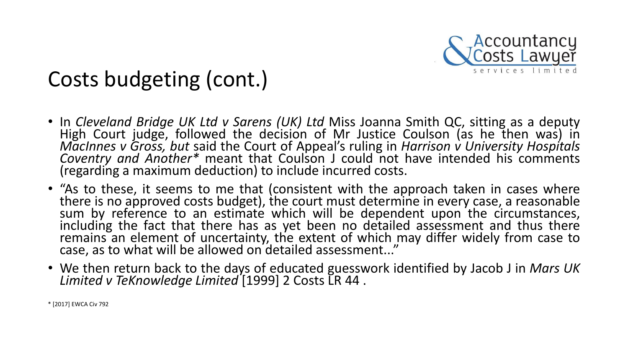

- In *Cleveland Bridge UK Ltd v Sarens (UK) Ltd* Miss Joanna Smith QC, sitting as a deputy High Court judge, followed the decision of Mr Justice Coulson (as he then was) in *MacInnes v Gross, but* said the Court of Appeal's ruling in *Harrison v University Hospitals Coventry and Another\** meant that Coulson J could not have intended his comments (regarding a maximum deduction) to include incurred costs.
- "As to these, it seems to me that (consistent with the approach taken in cases where there is no approved costs budget), the court must determine in every case, a reasonable sum by reference to an estimate which will be dependent upon the circumstances, including the fact that there has as yet been no detailed assessment and thus there remains an element of uncertainty, the extent of which may differ widely from case to case, as to what will be allowed on detailed assessment..."
- We then return back to the days of educated guesswork identified by Jacob J in *Mars UK Limited v TeKnowledge Limited* [1999] 2 Costs LR 44 .

\* [2017] EWCA Civ 792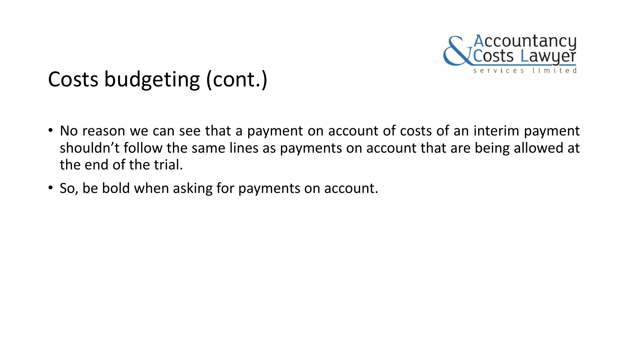

- No reason we can see that a payment on account of costs of an interim payment shouldn't follow the same lines as payments on account that are being allowed at the end of the trial.
- So, be bold when asking for payments on account.